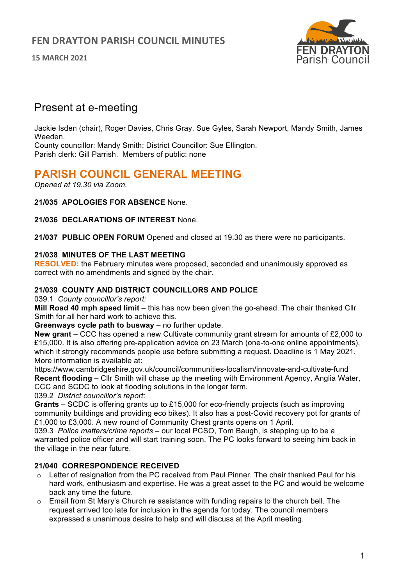**15 MARCH 2021**



# Present at e-meeting

Jackie Isden (chair), Roger Davies, Chris Gray, Sue Gyles, Sarah Newport, Mandy Smith, James Weeden.

County councillor: Mandy Smith; District Councillor: Sue Ellington. Parish clerk: Gill Parrish. Members of public: none

# **PARISH COUNCIL GENERAL MEETING**

*Opened at 19.30 via Zoom.*

**21/035 APOLOGIES FOR ABSENCE** None.

**21/036 DECLARATIONS OF INTEREST** None.

**21/037 PUBLIC OPEN FORUM** Opened and closed at 19.30 as there were no participants.

# **21/038 MINUTES OF THE LAST MEETING**

**RESOLVED:** the February minutes were proposed, seconded and unanimously approved as correct with no amendments and signed by the chair.

### **21/039 COUNTY AND DISTRICT COUNCILLORS AND POLICE**

039.1 *County councillor's report:*

**Mill Road 40 mph speed limit** – this has now been given the go-ahead. The chair thanked Cllr Smith for all her hard work to achieve this.

**Greenways cycle path to busway** – no further update.

**New grant** – CCC has opened a new Cultivate community grant stream for amounts of £2,000 to £15,000. It is also offering pre-application advice on 23 March (one-to-one online appointments), which it strongly recommends people use before submitting a request. Deadline is 1 May 2021. More information is available at:

https://www.cambridgeshire.gov.uk/council/communities-localism/innovate-and-cultivate-fund **Recent flooding** – Cllr Smith will chase up the meeting with Environment Agency, Anglia Water, CCC and SCDC to look at flooding solutions in the longer term.

039.2 *District councillor's report:*

**Grants** – SCDC is offering grants up to £15,000 for eco-friendly projects (such as improving community buildings and providing eco bikes). It also has a post-Covid recovery pot for grants of £1,000 to £3,000. A new round of Community Chest grants opens on 1 April.

039.3 *Police matters/crime reports* – our local PCSO, Tom Baugh, is stepping up to be a warranted police officer and will start training soon. The PC looks forward to seeing him back in the village in the near future.

# **21/040 CORRESPONDENCE RECEIVED**

- $\circ$  Letter of resignation from the PC received from Paul Pinner. The chair thanked Paul for his hard work, enthusiasm and expertise. He was a great asset to the PC and would be welcome back any time the future.
- $\circ$  Email from St Mary's Church re assistance with funding repairs to the church bell. The request arrived too late for inclusion in the agenda for today. The council members expressed a unanimous desire to help and will discuss at the April meeting.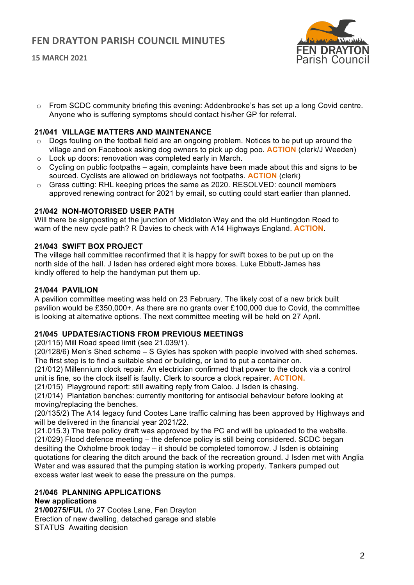# **FEN DRAYTON PARISH COUNCIL MINUTES**

**15 MARCH 2021**



o From SCDC community briefing this evening: Addenbrooke's has set up a long Covid centre. Anyone who is suffering symptoms should contact his/her GP for referral.

#### **21/041 VILLAGE MATTERS AND MAINTENANCE**

- o Dogs fouling on the football field are an ongoing problem. Notices to be put up around the village and on Facebook asking dog owners to pick up dog poo. **ACTION** (clerk/J Weeden)
- o Lock up doors: renovation was completed early in March.
- $\circ$  Cycling on public footpaths again, complaints have been made about this and signs to be sourced. Cyclists are allowed on bridleways not footpaths. **ACTION** (clerk)
- $\circ$  Grass cutting: RHL keeping prices the same as 2020. RESOLVED: council members approved renewing contract for 2021 by email, so cutting could start earlier than planned.

#### **21/042 NON-MOTORISED USER PATH**

Will there be signposting at the junction of Middleton Way and the old Huntingdon Road to warn of the new cycle path? R Davies to check with A14 Highways England. **ACTION**.

#### **21/043 SWIFT BOX PROJECT**

The village hall committee reconfirmed that it is happy for swift boxes to be put up on the north side of the hall. J Isden has ordered eight more boxes. Luke Ebbutt-James has kindly offered to help the handyman put them up.

#### **21/044 PAVILION**

A pavilion committee meeting was held on 23 February. The likely cost of a new brick built pavilion would be £350,000+. As there are no grants over £100,000 due to Covid, the committee is looking at alternative options. The next committee meeting will be held on 27 April.

#### **21/045 UPDATES/ACTIONS FROM PREVIOUS MEETINGS**

(20/115) Mill Road speed limit (see 21.039/1).

(20/128/6) Men's Shed scheme – S Gyles has spoken with people involved with shed schemes. The first step is to find a suitable shed or building, or land to put a container on.

(21/012) Millennium clock repair. An electrician confirmed that power to the clock via a control unit is fine, so the clock itself is faulty. Clerk to source a clock repairer. **ACTION.**

(21/015) Playground report: still awaiting reply from Caloo. J Isden is chasing.

(21/014) Plantation benches: currently monitoring for antisocial behaviour before looking at moving/replacing the benches.

(20/135/2) The A14 legacy fund Cootes Lane traffic calming has been approved by Highways and will be delivered in the financial year 2021/22.

(21.015.3) The tree policy draft was approved by the PC and will be uploaded to the website. (21/029) Flood defence meeting – the defence policy is still being considered. SCDC began desilting the Oxholme brook today – it should be completed tomorrow. J Isden is obtaining quotations for clearing the ditch around the back of the recreation ground. J Isden met with Anglia Water and was assured that the pumping station is working properly. Tankers pumped out excess water last week to ease the pressure on the pumps.

### **21/046 PLANNING APPLICATIONS**

#### **New applications**

**21/00275/FUL** r/o 27 Cootes Lane, Fen Drayton Erection of new dwelling, detached garage and stable STATUS Awaiting decision